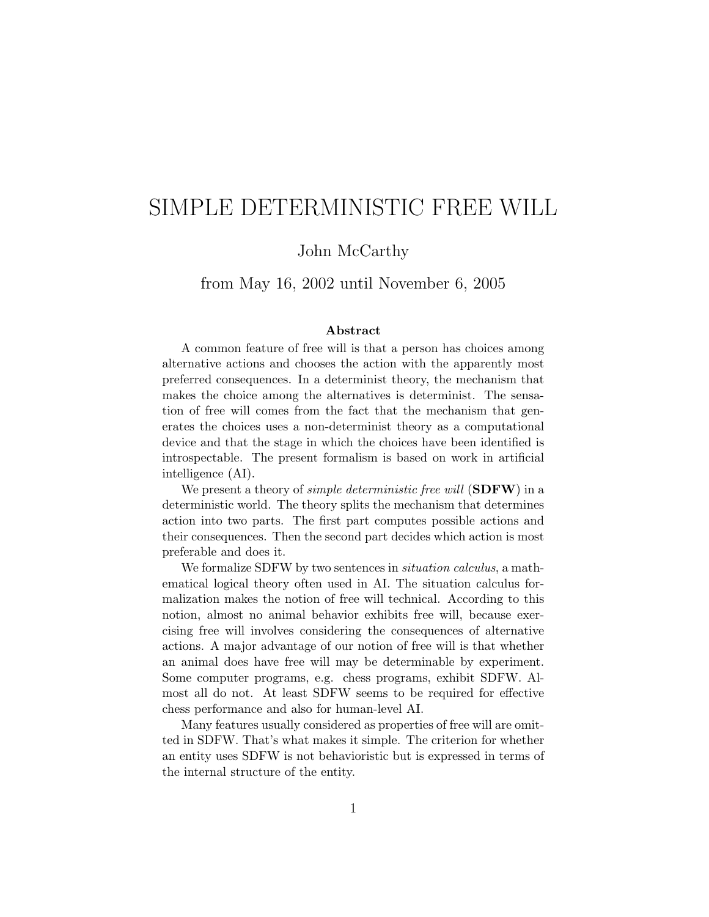# SIMPLE DETERMINISTIC FREE WILL

#### John McCarthy

from May 16, 2002 until November 6, 2005

#### Abstract

A common feature of free will is that a person has choices among alternative actions and chooses the action with the apparently most preferred consequences. In a determinist theory, the mechanism that makes the choice among the alternatives is determinist. The sensation of free will comes from the fact that the mechanism that generates the choices uses a non-determinist theory as a computational device and that the stage in which the choices have been identified is introspectable. The present formalism is based on work in artificial intelligence (AI).

We present a theory of *simple deterministic free will*  $(SDFW)$  in a deterministic world. The theory splits the mechanism that determines action into two parts. The first part computes possible actions and their consequences. Then the second part decides which action is most preferable and does it.

We formalize SDFW by two sentences in *situation calculus*, a mathematical logical theory often used in AI. The situation calculus formalization makes the notion of free will technical. According to this notion, almost no animal behavior exhibits free will, because exercising free will involves considering the consequences of alternative actions. A major advantage of our notion of free will is that whether an animal does have free will may be determinable by experiment. Some computer programs, e.g. chess programs, exhibit SDFW. Almost all do not. At least SDFW seems to be required for effective chess performance and also for human-level AI.

Many features usually considered as properties of free will are omitted in SDFW. That's what makes it simple. The criterion for whether an entity uses SDFW is not behavioristic but is expressed in terms of the internal structure of the entity.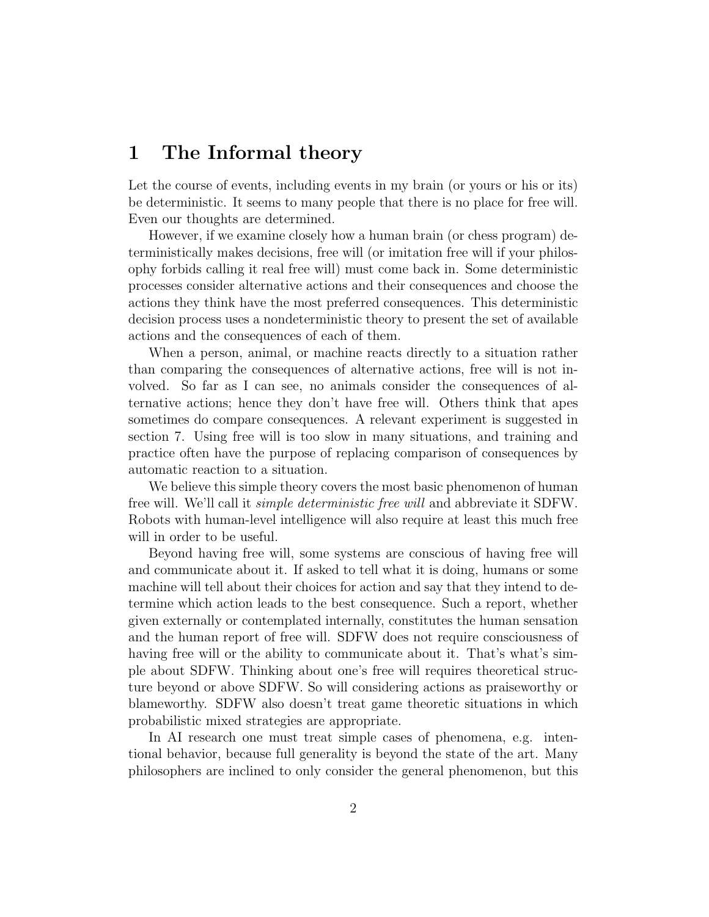#### 1 The Informal theory

Let the course of events, including events in my brain (or yours or his or its) be deterministic. It seems to many people that there is no place for free will. Even our thoughts are determined.

However, if we examine closely how a human brain (or chess program) deterministically makes decisions, free will (or imitation free will if your philosophy forbids calling it real free will) must come back in. Some deterministic processes consider alternative actions and their consequences and choose the actions they think have the most preferred consequences. This deterministic decision process uses a nondeterministic theory to present the set of available actions and the consequences of each of them.

When a person, animal, or machine reacts directly to a situation rather than comparing the consequences of alternative actions, free will is not involved. So far as I can see, no animals consider the consequences of alternative actions; hence they don't have free will. Others think that apes sometimes do compare consequences. A relevant experiment is suggested in section 7. Using free will is too slow in many situations, and training and practice often have the purpose of replacing comparison of consequences by automatic reaction to a situation.

We believe this simple theory covers the most basic phenomenon of human free will. We'll call it simple deterministic free will and abbreviate it SDFW. Robots with human-level intelligence will also require at least this much free will in order to be useful.

Beyond having free will, some systems are conscious of having free will and communicate about it. If asked to tell what it is doing, humans or some machine will tell about their choices for action and say that they intend to determine which action leads to the best consequence. Such a report, whether given externally or contemplated internally, constitutes the human sensation and the human report of free will. SDFW does not require consciousness of having free will or the ability to communicate about it. That's what's simple about SDFW. Thinking about one's free will requires theoretical structure beyond or above SDFW. So will considering actions as praiseworthy or blameworthy. SDFW also doesn't treat game theoretic situations in which probabilistic mixed strategies are appropriate.

In AI research one must treat simple cases of phenomena, e.g. intentional behavior, because full generality is beyond the state of the art. Many philosophers are inclined to only consider the general phenomenon, but this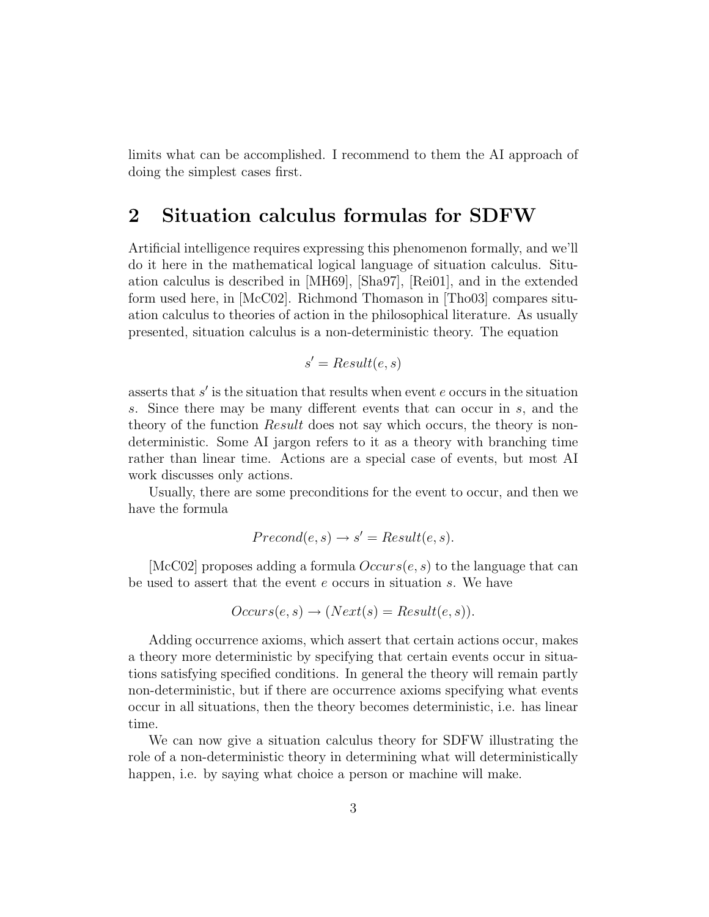limits what can be accomplished. I recommend to them the AI approach of doing the simplest cases first.

#### 2 Situation calculus formulas for SDFW

Artificial intelligence requires expressing this phenomenon formally, and we'll do it here in the mathematical logical language of situation calculus. Situation calculus is described in [MH69], [Sha97], [Rei01], and in the extended form used here, in [McC02]. Richmond Thomason in [Tho03] compares situation calculus to theories of action in the philosophical literature. As usually presented, situation calculus is a non-deterministic theory. The equation

$$
s' = Result(e, s)
$$

asserts that  $s'$  is the situation that results when event  $e$  occurs in the situation s. Since there may be many different events that can occur in s, and the theory of the function *Result* does not say which occurs, the theory is nondeterministic. Some AI jargon refers to it as a theory with branching time rather than linear time. Actions are a special case of events, but most AI work discusses only actions.

Usually, there are some preconditions for the event to occur, and then we have the formula

$$
Precond(e, s) \rightarrow s' = Result(e, s).
$$

[McC02] proposes adding a formula  $Occurs(e, s)$  to the language that can be used to assert that the event e occurs in situation s. We have

$$
Occurs(e, s) \rightarrow (Next(s) = Result(e, s)).
$$

Adding occurrence axioms, which assert that certain actions occur, makes a theory more deterministic by specifying that certain events occur in situations satisfying specified conditions. In general the theory will remain partly non-deterministic, but if there are occurrence axioms specifying what events occur in all situations, then the theory becomes deterministic, i.e. has linear time.

We can now give a situation calculus theory for SDFW illustrating the role of a non-deterministic theory in determining what will deterministically happen, i.e. by saying what choice a person or machine will make.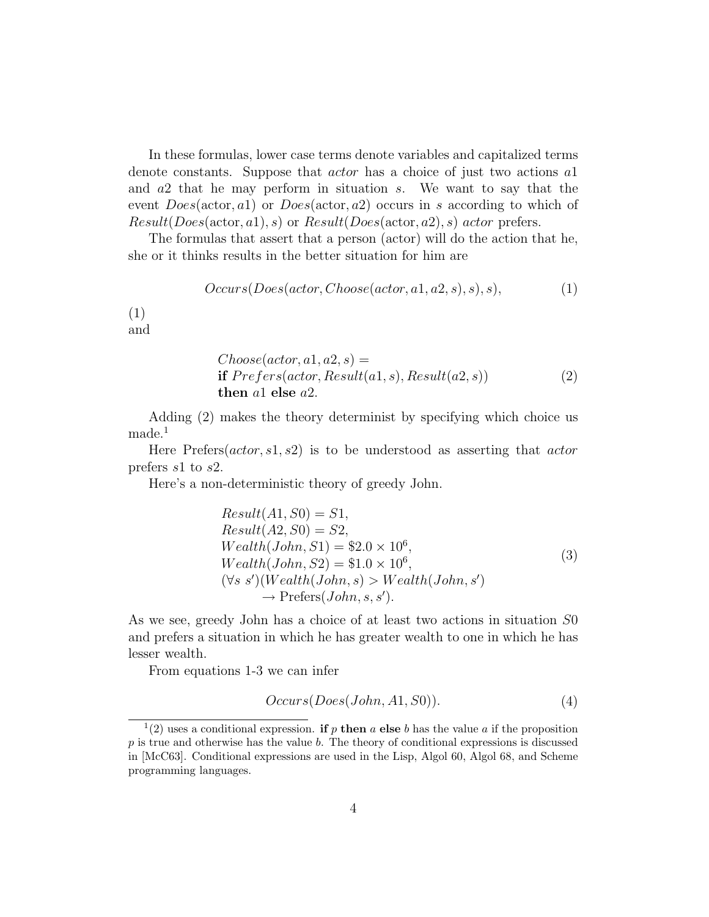In these formulas, lower case terms denote variables and capitalized terms denote constants. Suppose that *actor* has a choice of just two actions al and a2 that he may perform in situation s. We want to say that the event  $Does(\text{actor}, a1)$  or  $Does(\text{actor}, a2)$  occurs in s according to which of  $Result(Does(\text{actor}, a1), s)$  or  $Result(Does(\text{actor}, a2), s)$  actor prefers.

The formulas that assert that a person (actor) will do the action that he, she or it thinks results in the better situation for him are

$$
Occurs(Does(actor, Choose(actor, a1, a2, s), s), s),
$$
\n<sup>(1)</sup>

(1) and

Choose(actor, a1, a2, s) =  
if 
$$
Prefers(actor, Result(a1, s), Result(a2, s))
$$
  
then a1 else a2. (2)

Adding (2) makes the theory determinist by specifying which choice us made.<sup>1</sup>

Here Prefers( $actor, s1, s2$ ) is to be understood as asserting that  $actor$ prefers s1 to s2.

Here's a non-deterministic theory of greedy John.

$$
Result(A1, S0) = S1,\nResult(A2, S0) = S2,\nWeather(John, S1) = $2.0 \times 10^6,\nWeather(John, S2) = $1.0 \times 10^6,\n(∀s s')(Weather(John, s) > Weather(John, s')\n→ Prefers(John, s, s').
$$
\n(3)

As we see, greedy John has a choice of at least two actions in situation S0 and prefers a situation in which he has greater wealth to one in which he has lesser wealth.

From equations 1-3 we can infer

$$
Occurs(Does(John, A1, S0)). \t(4)
$$

<sup>&</sup>lt;sup>1</sup>(2) uses a conditional expression. **if** p then a else b has the value a if the proposition  $p$  is true and otherwise has the value  $b$ . The theory of conditional expressions is discussed in [McC63]. Conditional expressions are used in the Lisp, Algol 60, Algol 68, and Scheme programming languages.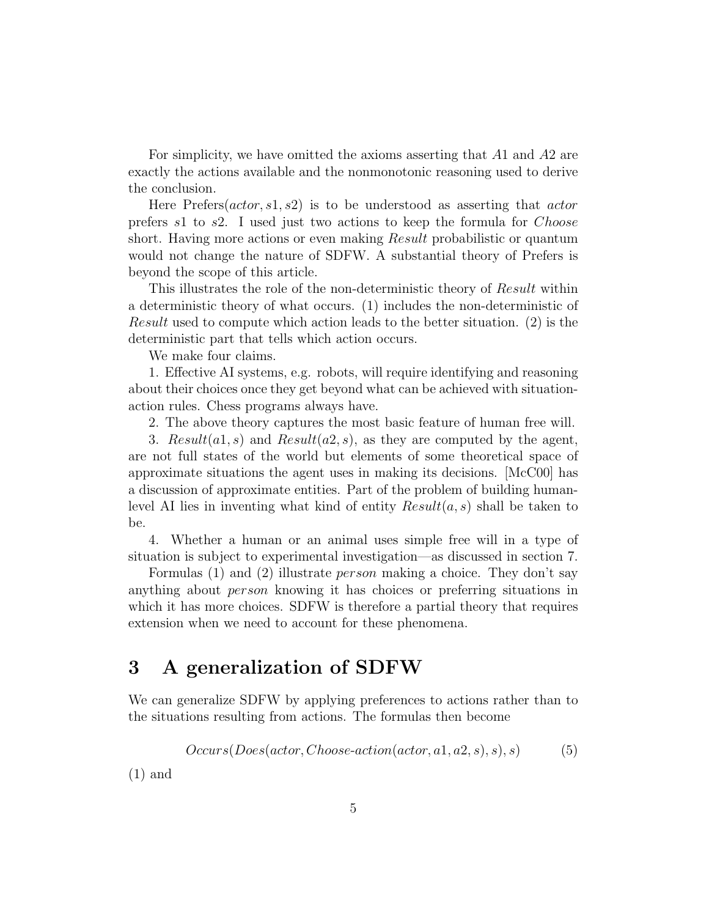For simplicity, we have omitted the axioms asserting that A1 and A2 are exactly the actions available and the nonmonotonic reasoning used to derive the conclusion.

Here Prefers( $actor, s1, s2$ ) is to be understood as asserting that  $actor$ prefers s1 to s2. I used just two actions to keep the formula for Choose short. Having more actions or even making *Result* probabilistic or quantum would not change the nature of SDFW. A substantial theory of Prefers is beyond the scope of this article.

This illustrates the role of the non-deterministic theory of Result within a deterministic theory of what occurs. (1) includes the non-deterministic of Result used to compute which action leads to the better situation. (2) is the deterministic part that tells which action occurs.

We make four claims.

1. Effective AI systems, e.g. robots, will require identifying and reasoning about their choices once they get beyond what can be achieved with situationaction rules. Chess programs always have.

2. The above theory captures the most basic feature of human free will.

3. Result(a1, s) and Result(a2, s), as they are computed by the agent, are not full states of the world but elements of some theoretical space of approximate situations the agent uses in making its decisions. [McC00] has a discussion of approximate entities. Part of the problem of building humanlevel AI lies in inventing what kind of entity  $Result(a, s)$  shall be taken to be.

4. Whether a human or an animal uses simple free will in a type of situation is subject to experimental investigation—as discussed in section 7.

Formulas (1) and (2) illustrate *person* making a choice. They don't say anything about person knowing it has choices or preferring situations in which it has more choices. SDFW is therefore a partial theory that requires extension when we need to account for these phenomena.

#### 3 A generalization of SDFW

We can generalize SDFW by applying preferences to actions rather than to the situations resulting from actions. The formulas then become

$$
Occurs(Does (actor, Choose-action (actor, a1, a2, s), s), s)
$$
\n
$$
(5)
$$

(1) and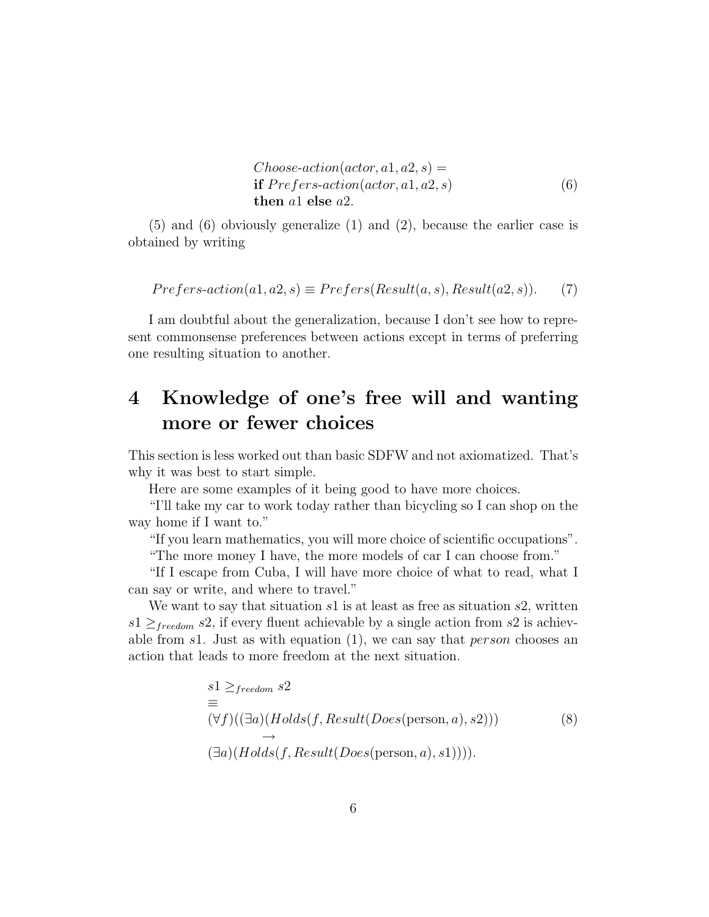Choose-action(actor, a1, a2, s) = if P refers-action(actor, a1, a2, s) then a1 else a2. (6)

(5) and (6) obviously generalize (1) and (2), because the earlier case is obtained by writing

$$
Prefers-action(a1, a2, s) \equiv Prefers(Result(a, s), Result(a2, s)).
$$
 (7)

I am doubtful about the generalization, because I don't see how to represent commonsense preferences between actions except in terms of preferring one resulting situation to another.

## 4 Knowledge of one's free will and wanting more or fewer choices

This section is less worked out than basic SDFW and not axiomatized. That's why it was best to start simple.

Here are some examples of it being good to have more choices.

"I'll take my car to work today rather than bicycling so I can shop on the way home if I want to."

"If you learn mathematics, you will more choice of scientific occupations".

"The more money I have, the more models of car I can choose from."

"If I escape from Cuba, I will have more choice of what to read, what I can say or write, and where to travel."

We want to say that situation  $s1$  is at least as free as situation  $s2$ , written  $s1 \geq_{freedom} s2$ , if every fluent achievable by a single action from s2 is achievable from s1. Just as with equation  $(1)$ , we can say that *person* chooses an action that leads to more freedom at the next situation.

$$
s1 \geq_{freedom} s2
$$
  
\n
$$
\equiv (\forall f)((\exists a)(Holds(f, Result(Does(\text{person}, a), s2)))
$$
  
\n
$$
\rightarrow (\exists a)(Holds(f, Result(Does(\text{person}, a), s1)))).
$$
\n(8)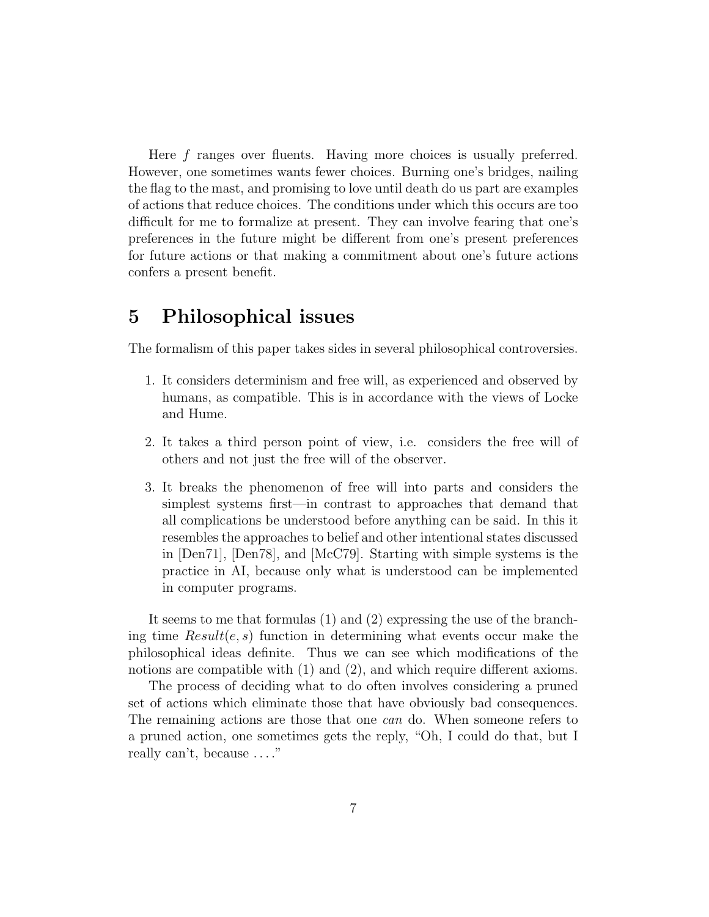Here f ranges over fluents. Having more choices is usually preferred. However, one sometimes wants fewer choices. Burning one's bridges, nailing the flag to the mast, and promising to love until death do us part are examples of actions that reduce choices. The conditions under which this occurs are too difficult for me to formalize at present. They can involve fearing that one's preferences in the future might be different from one's present preferences for future actions or that making a commitment about one's future actions confers a present benefit.

#### 5 Philosophical issues

The formalism of this paper takes sides in several philosophical controversies.

- 1. It considers determinism and free will, as experienced and observed by humans, as compatible. This is in accordance with the views of Locke and Hume.
- 2. It takes a third person point of view, i.e. considers the free will of others and not just the free will of the observer.
- 3. It breaks the phenomenon of free will into parts and considers the simplest systems first—in contrast to approaches that demand that all complications be understood before anything can be said. In this it resembles the approaches to belief and other intentional states discussed in [Den71], [Den78], and [McC79]. Starting with simple systems is the practice in AI, because only what is understood can be implemented in computer programs.

It seems to me that formulas (1) and (2) expressing the use of the branching time  $Result(e, s)$  function in determining what events occur make the philosophical ideas definite. Thus we can see which modifications of the notions are compatible with (1) and (2), and which require different axioms.

The process of deciding what to do often involves considering a pruned set of actions which eliminate those that have obviously bad consequences. The remaining actions are those that one can do. When someone refers to a pruned action, one sometimes gets the reply, "Oh, I could do that, but I really can't, because . . . ."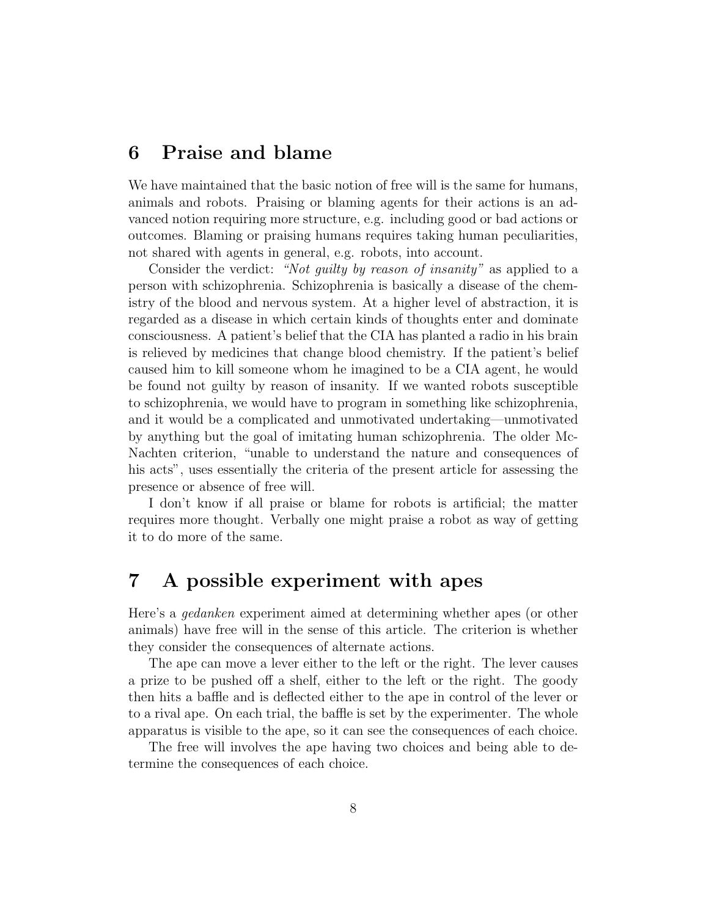#### 6 Praise and blame

We have maintained that the basic notion of free will is the same for humans, animals and robots. Praising or blaming agents for their actions is an advanced notion requiring more structure, e.g. including good or bad actions or outcomes. Blaming or praising humans requires taking human peculiarities, not shared with agents in general, e.g. robots, into account.

Consider the verdict: "Not guilty by reason of insanity" as applied to a person with schizophrenia. Schizophrenia is basically a disease of the chemistry of the blood and nervous system. At a higher level of abstraction, it is regarded as a disease in which certain kinds of thoughts enter and dominate consciousness. A patient's belief that the CIA has planted a radio in his brain is relieved by medicines that change blood chemistry. If the patient's belief caused him to kill someone whom he imagined to be a CIA agent, he would be found not guilty by reason of insanity. If we wanted robots susceptible to schizophrenia, we would have to program in something like schizophrenia, and it would be a complicated and unmotivated undertaking—unmotivated by anything but the goal of imitating human schizophrenia. The older Mc-Nachten criterion, "unable to understand the nature and consequences of his acts", uses essentially the criteria of the present article for assessing the presence or absence of free will.

I don't know if all praise or blame for robots is artificial; the matter requires more thought. Verbally one might praise a robot as way of getting it to do more of the same.

### 7 A possible experiment with apes

Here's a gedanken experiment aimed at determining whether apes (or other animals) have free will in the sense of this article. The criterion is whether they consider the consequences of alternate actions.

The ape can move a lever either to the left or the right. The lever causes a prize to be pushed off a shelf, either to the left or the right. The goody then hits a baffle and is deflected either to the ape in control of the lever or to a rival ape. On each trial, the baffle is set by the experimenter. The whole apparatus is visible to the ape, so it can see the consequences of each choice.

The free will involves the ape having two choices and being able to determine the consequences of each choice.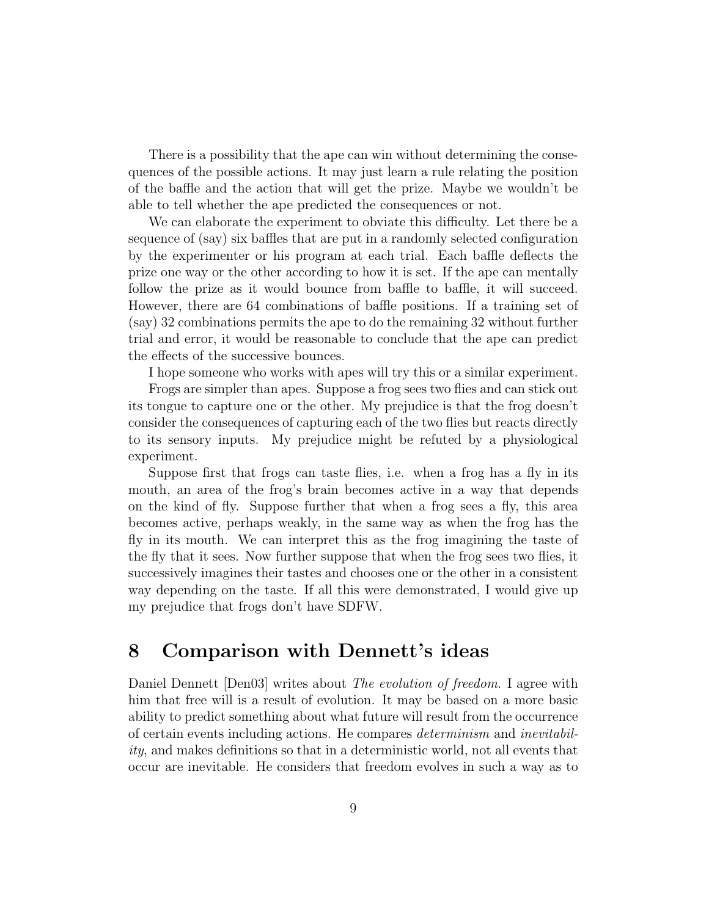There is a possibility that the ape can win without determining the consequences of the possible actions. It may just learn a rule relating the position of the baffle and the action that will get the prize. Maybe we wouldn't be able to tell whether the ape predicted the consequences or not.

We can elaborate the experiment to obviate this difficulty. Let there be a sequence of (say) six baffles that are put in a randomly selected configuration by the experimenter or his program at each trial. Each baffle deflects the prize one way or the other according to how it is set. If the ape can mentally follow the prize as it would bounce from baffle to baffle, it will succeed. However, there are 64 combinations of baffle positions. If a training set of (say) 32 combinations permits the ape to do the remaining 32 without further trial and error, it would be reasonable to conclude that the ape can predict the effects of the successive bounces.

I hope someone who works with apes will try this or a similar experiment.

Frogs are simpler than apes. Suppose a frog sees two flies and can stick out its tongue to capture one or the other. My prejudice is that the frog doesn't consider the consequences of capturing each of the two flies but reacts directly to its sensory inputs. My prejudice might be refuted by a physiological experiment.

Suppose first that frogs can taste flies, i.e. when a frog has a fly in its mouth, an area of the frog's brain becomes active in a way that depends on the kind of fly. Suppose further that when a frog sees a fly, this area becomes active, perhaps weakly, in the same way as when the frog has the fly in its mouth. We can interpret this as the frog imagining the taste of the fly that it sees. Now further suppose that when the frog sees two flies, it successively imagines their tastes and chooses one or the other in a consistent way depending on the taste. If all this were demonstrated, I would give up my prejudice that frogs don't have SDFW.

#### 8 Comparison with Dennett's ideas

Daniel Dennett [Den03] writes about *The evolution of freedom*. I agree with him that free will is a result of evolution. It may be based on a more basic ability to predict something about what future will result from the occurrence of certain events including actions. He compares determinism and inevitability, and makes definitions so that in a deterministic world, not all events that occur are inevitable. He considers that freedom evolves in such a way as to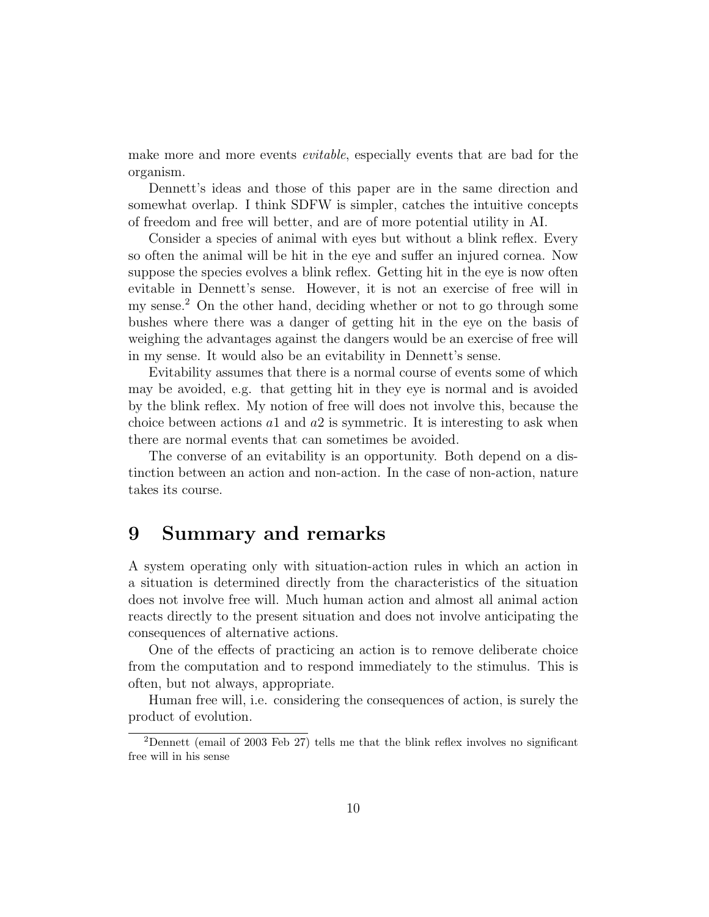make more and more events *evitable*, especially events that are bad for the organism.

Dennett's ideas and those of this paper are in the same direction and somewhat overlap. I think SDFW is simpler, catches the intuitive concepts of freedom and free will better, and are of more potential utility in AI.

Consider a species of animal with eyes but without a blink reflex. Every so often the animal will be hit in the eye and suffer an injured cornea. Now suppose the species evolves a blink reflex. Getting hit in the eye is now often evitable in Dennett's sense. However, it is not an exercise of free will in my sense.<sup>2</sup> On the other hand, deciding whether or not to go through some bushes where there was a danger of getting hit in the eye on the basis of weighing the advantages against the dangers would be an exercise of free will in my sense. It would also be an evitability in Dennett's sense.

Evitability assumes that there is a normal course of events some of which may be avoided, e.g. that getting hit in they eye is normal and is avoided by the blink reflex. My notion of free will does not involve this, because the choice between actions  $a_1$  and  $a_2$  is symmetric. It is interesting to ask when there are normal events that can sometimes be avoided.

The converse of an evitability is an opportunity. Both depend on a distinction between an action and non-action. In the case of non-action, nature takes its course.

#### 9 Summary and remarks

A system operating only with situation-action rules in which an action in a situation is determined directly from the characteristics of the situation does not involve free will. Much human action and almost all animal action reacts directly to the present situation and does not involve anticipating the consequences of alternative actions.

One of the effects of practicing an action is to remove deliberate choice from the computation and to respond immediately to the stimulus. This is often, but not always, appropriate.

Human free will, i.e. considering the consequences of action, is surely the product of evolution.

 $2$ Dennett (email of 2003 Feb 27) tells me that the blink reflex involves no significant free will in his sense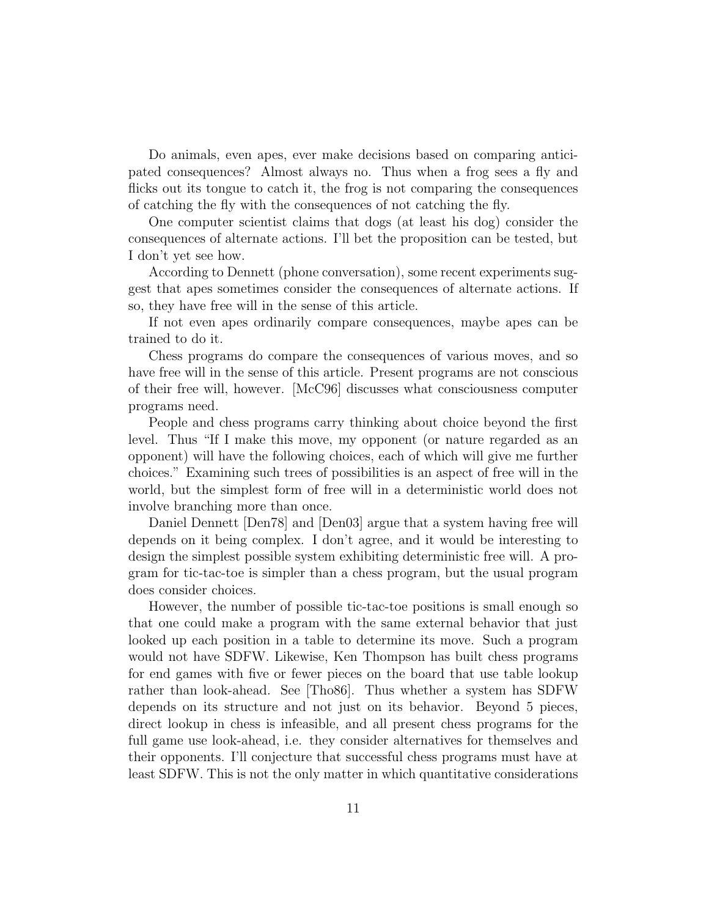Do animals, even apes, ever make decisions based on comparing anticipated consequences? Almost always no. Thus when a frog sees a fly and flicks out its tongue to catch it, the frog is not comparing the consequences of catching the fly with the consequences of not catching the fly.

One computer scientist claims that dogs (at least his dog) consider the consequences of alternate actions. I'll bet the proposition can be tested, but I don't yet see how.

According to Dennett (phone conversation), some recent experiments suggest that apes sometimes consider the consequences of alternate actions. If so, they have free will in the sense of this article.

If not even apes ordinarily compare consequences, maybe apes can be trained to do it.

Chess programs do compare the consequences of various moves, and so have free will in the sense of this article. Present programs are not conscious of their free will, however. [McC96] discusses what consciousness computer programs need.

People and chess programs carry thinking about choice beyond the first level. Thus "If I make this move, my opponent (or nature regarded as an opponent) will have the following choices, each of which will give me further choices." Examining such trees of possibilities is an aspect of free will in the world, but the simplest form of free will in a deterministic world does not involve branching more than once.

Daniel Dennett [Den78] and [Den03] argue that a system having free will depends on it being complex. I don't agree, and it would be interesting to design the simplest possible system exhibiting deterministic free will. A program for tic-tac-toe is simpler than a chess program, but the usual program does consider choices.

However, the number of possible tic-tac-toe positions is small enough so that one could make a program with the same external behavior that just looked up each position in a table to determine its move. Such a program would not have SDFW. Likewise, Ken Thompson has built chess programs for end games with five or fewer pieces on the board that use table lookup rather than look-ahead. See [Tho86]. Thus whether a system has SDFW depends on its structure and not just on its behavior. Beyond 5 pieces, direct lookup in chess is infeasible, and all present chess programs for the full game use look-ahead, i.e. they consider alternatives for themselves and their opponents. I'll conjecture that successful chess programs must have at least SDFW. This is not the only matter in which quantitative considerations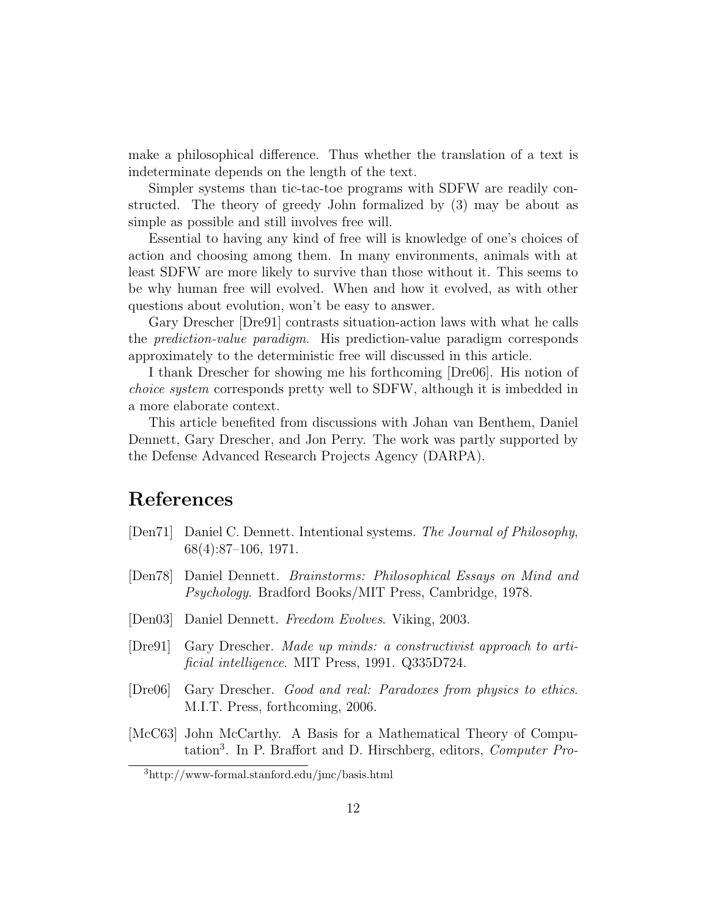make a philosophical difference. Thus whether the translation of a text is indeterminate depends on the length of the text.

Simpler systems than tic-tac-toe programs with SDFW are readily constructed. The theory of greedy John formalized by (3) may be about as simple as possible and still involves free will.

Essential to having any kind of free will is knowledge of one's choices of action and choosing among them. In many environments, animals with at least SDFW are more likely to survive than those without it. This seems to be why human free will evolved. When and how it evolved, as with other questions about evolution, won't be easy to answer.

Gary Drescher [Dre91] contrasts situation-action laws with what he calls the prediction-value paradigm. His prediction-value paradigm corresponds approximately to the deterministic free will discussed in this article.

I thank Drescher for showing me his forthcoming [Dre06]. His notion of choice system corresponds pretty well to SDFW, although it is imbedded in a more elaborate context.

This article benefited from discussions with Johan van Benthem, Daniel Dennett, Gary Drescher, and Jon Perry. The work was partly supported by the Defense Advanced Research Projects Agency (DARPA).

## References

- [Den71] Daniel C. Dennett. Intentional systems. The Journal of Philosophy, 68(4):87–106, 1971.
- [Den78] Daniel Dennett. Brainstorms: Philosophical Essays on Mind and Psychology. Bradford Books/MIT Press, Cambridge, 1978.
- [Den03] Daniel Dennett. Freedom Evolves. Viking, 2003.
- [Dre91] Gary Drescher. Made up minds: a constructivist approach to artificial intelligence. MIT Press, 1991. Q335D724.
- [Dre06] Gary Drescher. Good and real: Paradoxes from physics to ethics. M.I.T. Press, forthcoming, 2006.
- [McC63] John McCarthy. A Basis for a Mathematical Theory of Computation<sup>3</sup>. In P. Braffort and D. Hirschberg, editors, *Computer Pro-*

<sup>3</sup>http://www-formal.stanford.edu/jmc/basis.html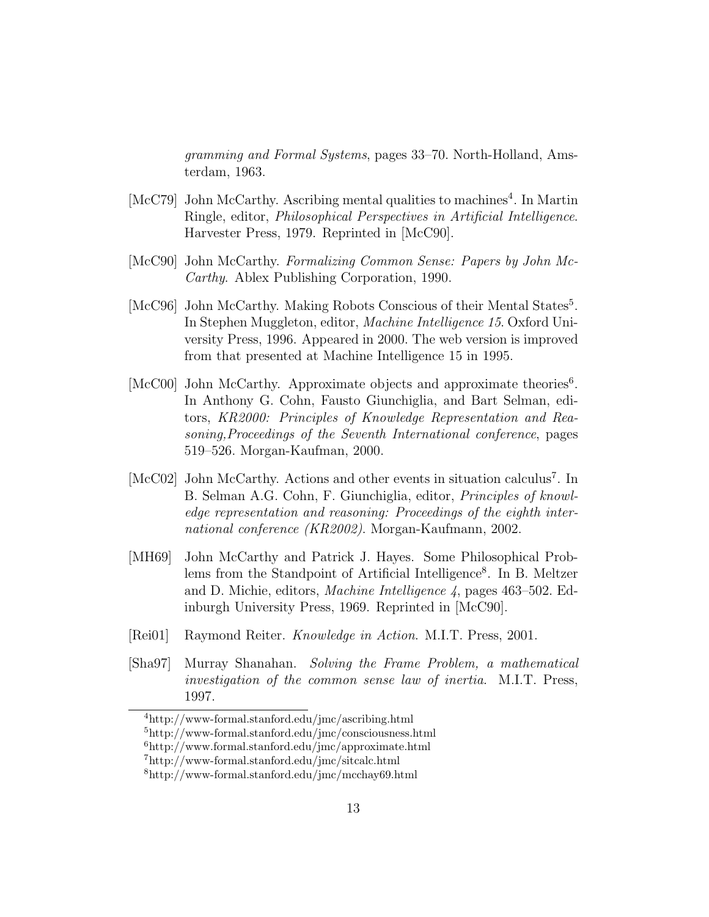gramming and Formal Systems, pages 33–70. North-Holland, Amsterdam, 1963.

- [McC79] John McCarthy. Ascribing mental qualities to machines 4 . In Martin Ringle, editor, Philosophical Perspectives in Artificial Intelligence. Harvester Press, 1979. Reprinted in [McC90].
- [McC90] John McCarthy. Formalizing Common Sense: Papers by John Mc-Carthy. Ablex Publishing Corporation, 1990.
- [McC96] John McCarthy. Making Robots Conscious of their Mental States<sup>5</sup>. In Stephen Muggleton, editor, Machine Intelligence 15. Oxford University Press, 1996. Appeared in 2000. The web version is improved from that presented at Machine Intelligence 15 in 1995.
- [McC00] John McCarthy. Approximate objects and approximate theories<sup>6</sup>. In Anthony G. Cohn, Fausto Giunchiglia, and Bart Selman, editors, KR2000: Principles of Knowledge Representation and Reasoning,Proceedings of the Seventh International conference, pages 519–526. Morgan-Kaufman, 2000.
- [McC02] John McCarthy. Actions and other events in situation calculus<sup>7</sup>. In B. Selman A.G. Cohn, F. Giunchiglia, editor, Principles of knowledge representation and reasoning: Proceedings of the eighth international conference (KR2002). Morgan-Kaufmann, 2002.
- [MH69] John McCarthy and Patrick J. Hayes. Some Philosophical Problems from the Standpoint of Artificial Intelligence<sup>8</sup>. In B. Meltzer and D. Michie, editors, Machine Intelligence 4, pages 463–502. Edinburgh University Press, 1969. Reprinted in [McC90].
- [Rei01] Raymond Reiter. Knowledge in Action. M.I.T. Press, 2001.
- [Sha97] Murray Shanahan. Solving the Frame Problem, a mathematical investigation of the common sense law of inertia. M.I.T. Press, 1997.

<sup>4</sup>http://www-formal.stanford.edu/jmc/ascribing.html

<sup>5</sup>http://www-formal.stanford.edu/jmc/consciousness.html

 $^{6}$ http://www.formal.stanford.edu/jmc/approximate.html

<sup>7</sup>http://www-formal.stanford.edu/jmc/sitcalc.html

<sup>8</sup>http://www-formal.stanford.edu/jmc/mcchay69.html